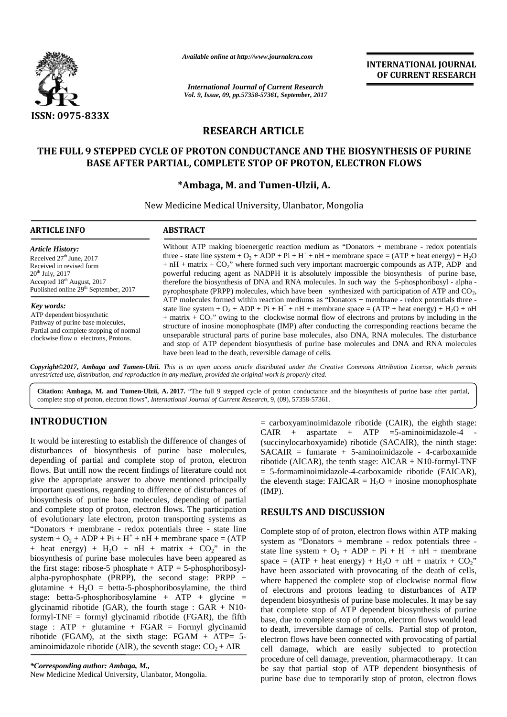

*Available online at http://www.journalcra.com*

**INTERNATIONAL JOURNAL OF CURRENT RESEARCH**

# **RESEARCH ARTICLE**

## **THE FULL 9 STEPPED CYCLE OF PROTON CONDUCTANCE AND THE BIOSYNTHESIS OF PURINE CYCLE OF BASE AFTER PARTIAL, COMPLETE STOP OF PROTON, ELECTRON FLOWS AFTER PARTIAL,**

## **\*Ambaga, M. and Tumen-Ulzii, A.**

|                                                                                                                                                                                                                                                                                                                                                                                                                                                                                                                                                                                                                                                                                                                                                                                                                                     |                                                                                                                                                                                                                                                                                                                                                                                                                                                                                                                                                                                                                                                                                                                                                                                                                                                                                                                                                                                                                                                                                                                                                                                                                                                                                                                                                 | <b>INTERNATIONAL JOURNAL</b><br>OF CURRENT RESEARCH                                                                                                                                                                                                                                                                                                                                                                                                                                                                                                                                                                                                                                                                                                                                                                                                       |
|-------------------------------------------------------------------------------------------------------------------------------------------------------------------------------------------------------------------------------------------------------------------------------------------------------------------------------------------------------------------------------------------------------------------------------------------------------------------------------------------------------------------------------------------------------------------------------------------------------------------------------------------------------------------------------------------------------------------------------------------------------------------------------------------------------------------------------------|-------------------------------------------------------------------------------------------------------------------------------------------------------------------------------------------------------------------------------------------------------------------------------------------------------------------------------------------------------------------------------------------------------------------------------------------------------------------------------------------------------------------------------------------------------------------------------------------------------------------------------------------------------------------------------------------------------------------------------------------------------------------------------------------------------------------------------------------------------------------------------------------------------------------------------------------------------------------------------------------------------------------------------------------------------------------------------------------------------------------------------------------------------------------------------------------------------------------------------------------------------------------------------------------------------------------------------------------------|-----------------------------------------------------------------------------------------------------------------------------------------------------------------------------------------------------------------------------------------------------------------------------------------------------------------------------------------------------------------------------------------------------------------------------------------------------------------------------------------------------------------------------------------------------------------------------------------------------------------------------------------------------------------------------------------------------------------------------------------------------------------------------------------------------------------------------------------------------------|
|                                                                                                                                                                                                                                                                                                                                                                                                                                                                                                                                                                                                                                                                                                                                                                                                                                     |                                                                                                                                                                                                                                                                                                                                                                                                                                                                                                                                                                                                                                                                                                                                                                                                                                                                                                                                                                                                                                                                                                                                                                                                                                                                                                                                                 | <b>International Journal of Current Research</b><br>Vol. 9, Issue, 09, pp.57358-57361, September, 2017                                                                                                                                                                                                                                                                                                                                                                                                                                                                                                                                                                                                                                                                                                                                                    |
| ISSN: 0975-833X                                                                                                                                                                                                                                                                                                                                                                                                                                                                                                                                                                                                                                                                                                                                                                                                                     |                                                                                                                                                                                                                                                                                                                                                                                                                                                                                                                                                                                                                                                                                                                                                                                                                                                                                                                                                                                                                                                                                                                                                                                                                                                                                                                                                 |                                                                                                                                                                                                                                                                                                                                                                                                                                                                                                                                                                                                                                                                                                                                                                                                                                                           |
|                                                                                                                                                                                                                                                                                                                                                                                                                                                                                                                                                                                                                                                                                                                                                                                                                                     |                                                                                                                                                                                                                                                                                                                                                                                                                                                                                                                                                                                                                                                                                                                                                                                                                                                                                                                                                                                                                                                                                                                                                                                                                                                                                                                                                 | <b>RESEARCH ARTICLE</b>                                                                                                                                                                                                                                                                                                                                                                                                                                                                                                                                                                                                                                                                                                                                                                                                                                   |
|                                                                                                                                                                                                                                                                                                                                                                                                                                                                                                                                                                                                                                                                                                                                                                                                                                     |                                                                                                                                                                                                                                                                                                                                                                                                                                                                                                                                                                                                                                                                                                                                                                                                                                                                                                                                                                                                                                                                                                                                                                                                                                                                                                                                                 | THE FULL 9 STEPPED CYCLE OF PROTON CONDUCTANCE AND THE BIOSYNTHESIS OF PURINE                                                                                                                                                                                                                                                                                                                                                                                                                                                                                                                                                                                                                                                                                                                                                                             |
|                                                                                                                                                                                                                                                                                                                                                                                                                                                                                                                                                                                                                                                                                                                                                                                                                                     |                                                                                                                                                                                                                                                                                                                                                                                                                                                                                                                                                                                                                                                                                                                                                                                                                                                                                                                                                                                                                                                                                                                                                                                                                                                                                                                                                 | BASE AFTER PARTIAL, COMPLETE STOP OF PROTON, ELECTRON FLOWS                                                                                                                                                                                                                                                                                                                                                                                                                                                                                                                                                                                                                                                                                                                                                                                               |
|                                                                                                                                                                                                                                                                                                                                                                                                                                                                                                                                                                                                                                                                                                                                                                                                                                     |                                                                                                                                                                                                                                                                                                                                                                                                                                                                                                                                                                                                                                                                                                                                                                                                                                                                                                                                                                                                                                                                                                                                                                                                                                                                                                                                                 | *Ambaga, M. and Tumen-Ulzii, A.                                                                                                                                                                                                                                                                                                                                                                                                                                                                                                                                                                                                                                                                                                                                                                                                                           |
|                                                                                                                                                                                                                                                                                                                                                                                                                                                                                                                                                                                                                                                                                                                                                                                                                                     |                                                                                                                                                                                                                                                                                                                                                                                                                                                                                                                                                                                                                                                                                                                                                                                                                                                                                                                                                                                                                                                                                                                                                                                                                                                                                                                                                 | New Medicine Medical University, Ulanbator, Mongolia                                                                                                                                                                                                                                                                                                                                                                                                                                                                                                                                                                                                                                                                                                                                                                                                      |
| <b>ARTICLE INFO</b>                                                                                                                                                                                                                                                                                                                                                                                                                                                                                                                                                                                                                                                                                                                                                                                                                 | <b>ABSTRACT</b>                                                                                                                                                                                                                                                                                                                                                                                                                                                                                                                                                                                                                                                                                                                                                                                                                                                                                                                                                                                                                                                                                                                                                                                                                                                                                                                                 |                                                                                                                                                                                                                                                                                                                                                                                                                                                                                                                                                                                                                                                                                                                                                                                                                                                           |
| <b>Article History:</b><br>Received 27 <sup>th</sup> June, 2017<br>Received in revised form<br>$20^{th}$ July, $2017$<br>Accepted 18 <sup>th</sup> August, 2017<br>Published online 29 <sup>th</sup> September, 2017                                                                                                                                                                                                                                                                                                                                                                                                                                                                                                                                                                                                                | Without ATP making bioenergetic reaction medium as "Donators + membrane - redox potentials<br>three - state line system + $O_2$ + DP + Pi + H <sup>+</sup> + nH + membrane space = (ATP + heat energy) + H <sub>2</sub> O<br>$+ nH +$ matrix $+ CO2$ " where formed such very important macroergic compounds as ATP, ADP and<br>powerful reducing agent as NADPH it is absolutely impossible the biosynthesis of purine base,<br>therefore the biosynthesis of DNA and RNA molecules. In such way the 5-phosphoribosyl - alpha -<br>pyrophosphate (PRPP) molecules, which have been synthesized with participation of ATP and CO <sub>2</sub> ,<br>ATP molecules formed within reaction mediums as "Donators + membrane - redox potentials three -<br>state line system + $O_2$ + $DP + Pi + H^+ + nH +$ membrane space = (ATP + heat energy) + $H_2O + nH$<br>$+$ matrix $+$ CO <sub>2</sub> " owing to the clockwise normal flow of electrons and protons by including in the<br>structure of inosine monophosphate (IMP) after conducting the corresponding reactions became the<br>unseparable structural parts of purine base molecules, also DNA, RNA molecules. The disturbance<br>and stop of ATP dependent biosynthesis of purine base molecules and DNA and RNA molecules<br>have been lead to the death, reversible damage of cells. |                                                                                                                                                                                                                                                                                                                                                                                                                                                                                                                                                                                                                                                                                                                                                                                                                                                           |
| Key words:<br>ATP dependent biosynthetic<br>Pathway of purine base molecules,<br>Partial and complete stopping of normal<br>clockwise flow o electrons, Protons.                                                                                                                                                                                                                                                                                                                                                                                                                                                                                                                                                                                                                                                                    |                                                                                                                                                                                                                                                                                                                                                                                                                                                                                                                                                                                                                                                                                                                                                                                                                                                                                                                                                                                                                                                                                                                                                                                                                                                                                                                                                 |                                                                                                                                                                                                                                                                                                                                                                                                                                                                                                                                                                                                                                                                                                                                                                                                                                                           |
| unrestricted use, distribution, and reproduction in any medium, provided the original work is properly cited.                                                                                                                                                                                                                                                                                                                                                                                                                                                                                                                                                                                                                                                                                                                       |                                                                                                                                                                                                                                                                                                                                                                                                                                                                                                                                                                                                                                                                                                                                                                                                                                                                                                                                                                                                                                                                                                                                                                                                                                                                                                                                                 | Copyright©2017, Ambaga and Tumen-Ulzii. This is an open access article distributed under the Creative Commons Attribution License, which permits                                                                                                                                                                                                                                                                                                                                                                                                                                                                                                                                                                                                                                                                                                          |
| complete stop of proton, electron flows", International Journal of Current Research, 9, (09), 57358-57361.                                                                                                                                                                                                                                                                                                                                                                                                                                                                                                                                                                                                                                                                                                                          |                                                                                                                                                                                                                                                                                                                                                                                                                                                                                                                                                                                                                                                                                                                                                                                                                                                                                                                                                                                                                                                                                                                                                                                                                                                                                                                                                 | Citation: Ambaga, M. and Tumen-Ulzii, A. 2017. "The full 9 stepped cycle of proton conductance and the biosynthesis of purine base after partial,                                                                                                                                                                                                                                                                                                                                                                                                                                                                                                                                                                                                                                                                                                         |
| <b>INTRODUCTION</b><br>It would be interesting to establish the difference of changes of<br>disturbances of biosynthesis of purine base molecules,<br>depending of partial and complete stop of proton, electron<br>flows. But untill now the recent findings of literature could not<br>give the appropriate answer to above mentioned principally<br>important questions, regarding to difference of disturbances of<br>biosynthesis of purine base molecules, depending of partial                                                                                                                                                                                                                                                                                                                                               |                                                                                                                                                                                                                                                                                                                                                                                                                                                                                                                                                                                                                                                                                                                                                                                                                                                                                                                                                                                                                                                                                                                                                                                                                                                                                                                                                 | $=$ carboxyaminoimidazole ribotide (CAIR), the eighth stage:<br>$CAIR +$<br>aspartate + $ATP$ =5-aminoimidazole-4 -<br>(succinylocarboxyamide) ribotide (SACAIR), the ninth stage:<br>$SACAIR = fumarate + 5-aminoimidazole - 4-carboxamide$<br>ribotide (AICAR), the tenth stage: $AICAR + N10$ -formyl-TNF<br>= 5-formaminoimidazole-4-carboxamide ribotide (FAICAR),<br>the eleventh stage: $FAICAR = H2O + inosine monophosphate$<br>$(MP)$ .                                                                                                                                                                                                                                                                                                                                                                                                         |
| and complete stop of proton, electron flows. The participation<br>of evolutionary late electron, proton transporting systems as                                                                                                                                                                                                                                                                                                                                                                                                                                                                                                                                                                                                                                                                                                     |                                                                                                                                                                                                                                                                                                                                                                                                                                                                                                                                                                                                                                                                                                                                                                                                                                                                                                                                                                                                                                                                                                                                                                                                                                                                                                                                                 | <b>RESULTS AND DISCUSSION</b>                                                                                                                                                                                                                                                                                                                                                                                                                                                                                                                                                                                                                                                                                                                                                                                                                             |
| "Donators + membrane - redox potentials three - state line<br>system + $O_2$ + DP + Pi + H <sup>+</sup> + nH + membrane space = (ATP<br>+ heat energy) + $H_2O$ + nH + matrix + $CO_2$ " in the<br>biosynthesis of purine base molecules have been appeared as<br>the first stage: ribose-5 phosphate + $ATP = 5$ -phosphoribosyl-<br>alpha-pyrophosphate (PRPP), the second stage: $PRPP +$<br>glutamine + $H_2O$ = betta-5-phosphoribosylamine, the third<br>stage: betta-5-phosphoribosylamine + ATP + glycine =<br>glycinamid ribotide (GAR), the fourth stage : $GAR + N10$ -<br>formyl-TNF = formyl glycinamid ribotide (FGAR), the fifth<br>stage : $ATP$ + glutamine + $FGAR$ = Formyl glycinamid<br>ribotide (FGAM), at the sixth stage: FGAM $+$ ATP= 5-<br>aminoimidazole ribotide (AIR), the seventh stage: $CO2 + AIR$ |                                                                                                                                                                                                                                                                                                                                                                                                                                                                                                                                                                                                                                                                                                                                                                                                                                                                                                                                                                                                                                                                                                                                                                                                                                                                                                                                                 | Complete stop of of proton, electron flows within ATP making<br>system as "Donators + membrane - redox potentials three -<br>state line system + $O_2$ + DP + Pi + H <sup>+</sup> + nH + membrane<br>space = $(ATP + heat energy) + H_2O + nH + matrix + CO_2$ "<br>have been associated with provocating of the death of cells,<br>where happened the complete stop of clockwise normal flow<br>of electrons and protons leading to disturbances of ATP<br>dependent biosynthesis of purine base molecules. It may be say<br>that complete stop of ATP dependent biosynthesis of purine<br>base, due to complete stop of proton, electron flows would lead<br>to death, irreversible damage of cells. Partial stop of proton,<br>electron flows have been connected with provocating of partial<br>cell damage, which are easily subjected to protection |
| *Corresponding author: Ambaga, M.,                                                                                                                                                                                                                                                                                                                                                                                                                                                                                                                                                                                                                                                                                                                                                                                                  |                                                                                                                                                                                                                                                                                                                                                                                                                                                                                                                                                                                                                                                                                                                                                                                                                                                                                                                                                                                                                                                                                                                                                                                                                                                                                                                                                 | procedure of cell damage, prevention, pharmacotherapy. It can<br>be say that partial stop of ATP dependent biosynthesis of                                                                                                                                                                                                                                                                                                                                                                                                                                                                                                                                                                                                                                                                                                                                |

# **INTRODUCTION INTRODUCTION**

#### **RESULTS AND DISCUSSION**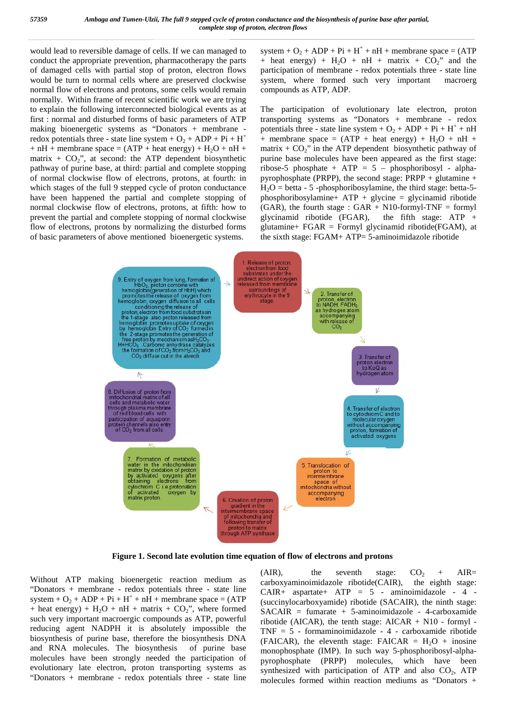would lead to reversible damage of cells. If we can managed to conduct the appropriate prevention, pharmacotherapy the parts of damaged cells with partial stop of proton, electron flows would be turn to normal cells where are preserved clockwise normal flow of electrons and protons, some cells would remain normally. Within frame of recent scientific work we are trying to explain the following interconnected biological events as at first : normal and disturbed forms of basic parameters of ATP making bioenergetic systems as "Donators + membrane redox potentials three - state line system +  $O_2$  +  $DP + Pi + H^+$  $+ nH +$  membrane space = (ATP + heat energy) + H<sub>2</sub>O + nH + matrix +  $CO<sub>2</sub>$ ", at second: the ATP dependent biosynthetic pathway of purine base, at third: partial and complete stopping of normal clockwise flow of electrons, protons, at fourth: in which stages of the full 9 stepped cycle of proton conductance have been happened the partial and complete stopping of normal clockwise flow of electrons, protons, at fifth: how to prevent the partial and complete stopping of normal clockwise flow of electrons, protons by normalizing the disturbed forms of basic parameters of above mentioned bioenergetic systems.

system +  $O_2$  +  $DP + Pi + H^+ + nH +$  membrane space = (ATP + heat energy) +  $H_2O$  + nH + matrix +  $CO_2$ " and the participation of membrane - redox potentials three - state line system, where formed such very important macroerg compounds as ATP, ADP.

The participation of evolutionary late electron, proton transporting systems as "Donators + membrane - redox potentials three - state line system +  $O_2$  +  $DP + Pi + H^+ + nH$ + membrane space =  $(ATP + heat energy) + H<sub>2</sub>O + nH +$ matrix  $+ CO_2$ " in the ATP dependent biosynthetic pathway of purine base molecules have been appeared as the first stage: ribose-5 phosphate + ATP = 5 – phosphoribosyl - alpha pyrophosphate (PRPP), the second stage: PRPP + glutamine +  $H_2O = \text{beta} - 5$  -phosphoribosylamine, the third stage: betta-5phosphoribosylamine+ ATP + glycine = glycinamid ribotide (GAR), the fourth stage :  $GAR + N10$ -formyl-TNF = formyl glycinamid ribotide (FGAR), the fifth stage:  $ATP +$ glutamine+  $FGAR = Formyl$  glycinamid ribotide( $FGAM$ ), at the sixth stage: FGAM+ ATP= 5-aminoimidazole ribotide



**Figure 1. Second late evolution time equation of flow of electrons and protons**

Without ATP making bioenergetic reaction medium as  $(AIR)$ , "Donators + membrane - redox potentials three - state line system +  $O_2$  +  $DP + Pi + H^+ + nH +$  membrane space = (ATP + heat energy) +  $H_2O$  + nH + matrix +  $CO_2$ ", where formed such very important macroergic compounds as ATP, powerful reducing agent NADPH it is absolutely impossible the biosynthesis of purine base, therefore the biosynthesis DNA and RNA molecules. The biosynthesis of purine base molecules have been strongly needed the participation of evolutionary late electron, proton transporting systems as "Donators  $+$  membrane - redox potentials three - state line

(AIR), the seventh stage:  $CO_2$  + AIR= carboxyaminoimidazole ribotide(CAIR), the eighth stage: CAIR+ aspartate+ ATP = 5 - aminoimidazole - 4 - (succinylocarboxyamide) ribotide (SACAIR), the ninth stage:  $SACAIR = fumarate + 5-aminoimidazole - 4-carboxamide$ ribotide (AICAR), the tenth stage:  $AICAR + N10$  - formyl -TNF = 5 - formaminoimidazole -4 - carboxamide ribotide (FAICAR), the eleventh stage: FAICAR =  $H_2O$  + inosine monophosphate (IMP). In such way 5-phosphoribosyl-alpha pyrophosphate (PRPP) molecules, which have been synthesized with participation of ATP and also  $CO<sub>2</sub>$ , ATP molecules formed within reaction mediums as "Donators +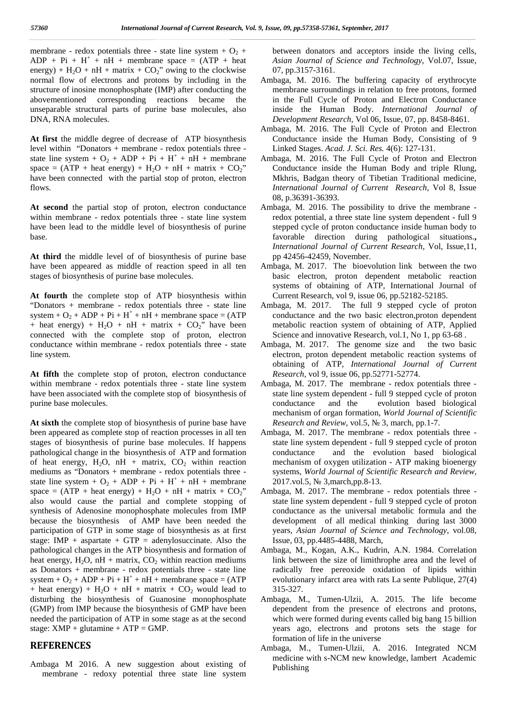membrane - redox potentials three - state line system +  $O_2$  +  $DP + Pi + H^+ + nH +$  membrane space = (ATP + heat energy) + H<sub>2</sub>O + nH + matrix + CO<sub>2</sub>" owing to the clockwise normal flow of electrons and protons by including in the structure of inosine monophosphate (IMP) after conducting the abovementioned corresponding reactions became the unseparable structural parts of purine base molecules, also DNA, RNA molecules.

**At first** the middle degree of decrease of ATP biosynthesis level within "Donators + membrane - redox potentials three state line system +  $O_2$  +  $DP + Pi + H^+ + nH +$  membrane space =  $(ATP + heat energy) + H<sub>2</sub>O + nH + matrix + CO<sub>2</sub>$ " have been connected with the partial stop of proton, electron flows.

**At second** the partial stop of proton, electron conductance within membrane - redox potentials three - state line system have been lead to the middle level of biosynthesis of purine base.

**At third** the middle level of of biosynthesis of purine base have been appeared as middle of reaction speed in all ten stages of biosynthesis of purine base molecules.

**At fourth** the complete stop of ATP biosynthesis within "Donators + membrane - redox potentials three - state line system +  $O_2$  +  $DP + Pi + H^+ + nH +$  membrane space = (ATP + heat energy) +  $H_2O$  + nH + matrix +  $CO_2$ <sup>"</sup> have been connected with the complete stop of proton, electron conductance within membrane - redox potentials three - state line system.

**At fifth** the complete stop of proton, electron conductance within membrane - redox potentials three - state line system have been associated with the complete stop of biosynthesis of purine base molecules.

**At sixth** the complete stop of biosynthesis of purine base have been appeared as complete stop of reaction processes in all ten stages of biosynthesis of purine base molecules. If happens pathological change in the biosynthesis of ATP and formation of heat energy,  $H_2O$ , nH + matrix,  $CO_2$  within reaction mediums as "Donators + membrane - redox potentials three state line system +  $O_2$  +  $DP + Pi + H^+ + nH +$  membrane 2017.vol.5, space =  $(ATP + heat energy) + H<sub>2</sub>O + nH + matrix + CO<sub>2</sub>$ " also would cause the partial and complete stopping of synthesis of Adenosine monophosphate molecules from IMP because the biosynthesis of AMP have been needed the participation of GTP in some stage of biosynthesis as at first stage: IMP + aspartate + GTP = adenylosuccinate. Also the pathological changes in the ATP biosynthesis and formation of heat energy,  $H_2O$ , nH + matrix,  $CO_2$  within reaction mediums as Donators + membrane - redox potentials three - state line system +  $O_2$  +  $DP + Pi + H^+ + nH +$  membrane space = (ATP + heat energy) +  $H_2O$  + nH + matrix +  $CO_2$  would lead to disturbing the biosynthesis of Guanosine monophosphate (GMP) from IMP because the biosynthesis of GMP have been needed the participation of ATP in some stage as at the second stage:  $XMP + glutamine + ATP = GMP$ .

#### **REFERENCES**

Ambaga M 2016. A new suggestion about existing of membrane - redoxy potential three state line system between donators and acceptors inside the living cells, *Asian Journal of Science and Technology*, Vol.07, Issue, 07, pp.3157-3161.

- Ambaga, M. 2016. The buffering capacity of erythrocyte membrane surroundings in relation to free protons, formed in the Full Cycle of Proton and Electron Conductance inside the Human Body. *International Journal of Development Research,* Vol 06, Issue, 07, pp. 8458-8461.
- Ambaga, M. 2016. The Full Cycle of Proton and Electron Conductance inside the Human Body, Consisting of 9 Linked Stages. *Acad. J. Sci. Res.* 4(6): 127-131.
- Ambaga, M. 2016. The Full Cycle of Proton and Electron Conductance inside the Human Body and triple Rlung, Mkhris, Badgan theory of Tibetian Traditional medicine, *International Journal of Current Research*, Vol 8, Issue 08, p.36391-36393.
- Ambaga, M. 2016. The possibility to drive the membrane redox potential, a three state line system dependent - full 9 stepped cycle of proton conductance inside human body to favorable direction during pathological situations.**,** *International Journal of Current Research,* Vol, Issue,11, pp 42456-42459, November.
- Ambaga, M. 2017. The bioevolution link between the two basic electron, proton dependent metabolic reaction systems of obtaining of ATP, International Journal of Current Research, vol 9, issue 06, pp.52182-52185.
- Ambaga, M. 2017. The full 9 stepped cycle of proton conductance and the two basic electron,proton dependent metabolic reaction system of obtaining of ATP, Applied Science and innovative Research, vol.1, No 1, pp 63-68 .
- Ambaga, M. 2017. The genome size and the two basic electron, proton dependent metabolic reaction systems of obtaining of ATP, *International Journal of Current Research,* vol 9, issue 06, pp.52771-52774.
- Ambaga, M. 2017. The membrane redox potentials three state line system dependent - full 9 stepped cycle of proton conductance and the evolution based biological mechanism of organ formation, *World Journal of Scientific Research and Review*, vol.5, 3, march, pp.1-7.
- Ambaga, M. 2017. The membrane redox potentials three state line system dependent - full 9 stepped cycle of proton and the evolution based biological mechanism of oxygen utilization - ATP making bioenergy systems, *World Journal of Scientific Research and Review,* 3, march,pp.8-13.
- Ambaga, M. 2017. The membrane redox potentials three state line system dependent - full 9 stepped cycle of proton conductance as the universal metabolic formula and the development of all medical thinking during last 3000 years, *Asian Journal of Science and Technology*, vol.08, Issue, 03, pp.4485-4488, March,
- Ambaga, M., Kogan, A.K., Kudrin, A.N. 1984. Correlation link between the size of limithrophe area and the level of radically free pereoxide oxidation of lipids within evolutionary infarct area with rats La sente Publique, 27(4) 315-327.
- Ambaga, M., Tumen-Ulzii, A. 2015. The life become dependent from the presence of electrons and protons, which were formed during events called big bang 15 billion years ago, electrons and protons sets the stage for formation of life in the universe
- Ambaga, M., Tumen-Ulzii, A. 2016. Integrated NCM medicine with s-NCM new knowledge, lambert Academic Publishing